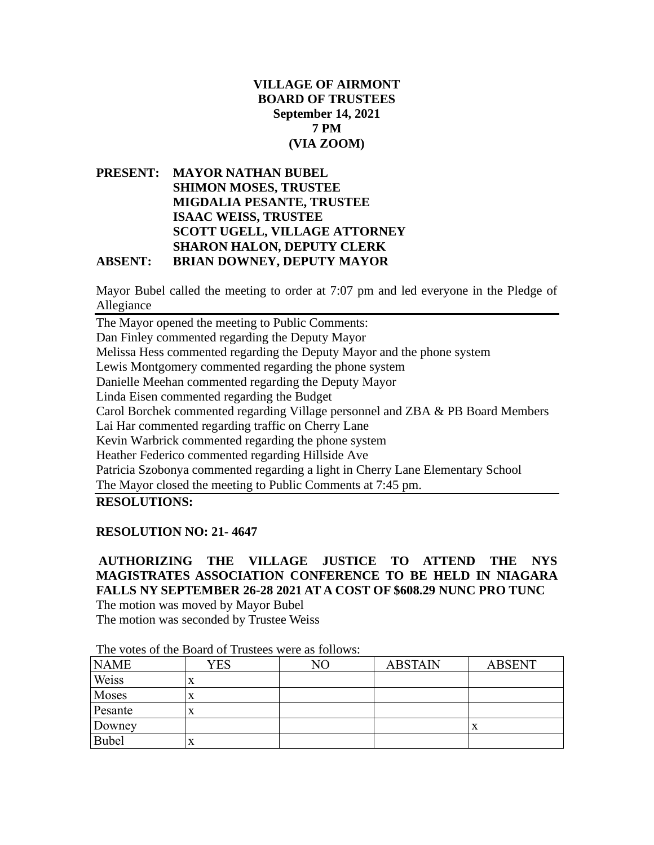## **VILLAGE OF AIRMONT BOARD OF TRUSTEES September 14, 2021 7 PM (VIA ZOOM)**

**PRESENT: MAYOR NATHAN BUBEL SHIMON MOSES, TRUSTEE MIGDALIA PESANTE, TRUSTEE ISAAC WEISS, TRUSTEE SCOTT UGELL, VILLAGE ATTORNEY SHARON HALON, DEPUTY CLERK ABSENT: BRIAN DOWNEY, DEPUTY MAYOR**

Mayor Bubel called the meeting to order at 7:07 pm and led everyone in the Pledge of Allegiance

The Mayor opened the meeting to Public Comments: Dan Finley commented regarding the Deputy Mayor Melissa Hess commented regarding the Deputy Mayor and the phone system Lewis Montgomery commented regarding the phone system Danielle Meehan commented regarding the Deputy Mayor Linda Eisen commented regarding the Budget Carol Borchek commented regarding Village personnel and ZBA & PB Board Members Lai Har commented regarding traffic on Cherry Lane Kevin Warbrick commented regarding the phone system Heather Federico commented regarding Hillside Ave Patricia Szobonya commented regarding a light in Cherry Lane Elementary School The Mayor closed the meeting to Public Comments at 7:45 pm.

**RESOLUTIONS:**

### **RESOLUTION NO: 21- 4647**

**AUTHORIZING THE VILLAGE JUSTICE TO ATTEND THE NYS MAGISTRATES ASSOCIATION CONFERENCE TO BE HELD IN NIAGARA FALLS NY SEPTEMBER 26-28 2021 AT A COST OF \$608.29 NUNC PRO TUNC**  The motion was moved by Mayor Bubel

The motion was seconded by Trustee Weiss

| <b>NAME</b>  | YES       | N <sub>O</sub> | <b>ABSTAIN</b> | <b>ABSENT</b> |
|--------------|-----------|----------------|----------------|---------------|
| Weiss        | $\Lambda$ |                |                |               |
| Moses        | X         |                |                |               |
| Pesante      | X         |                |                |               |
| Downey       |           |                |                | A             |
| <b>Bubel</b> | X         |                |                |               |

The votes of the Board of Trustees were as follows: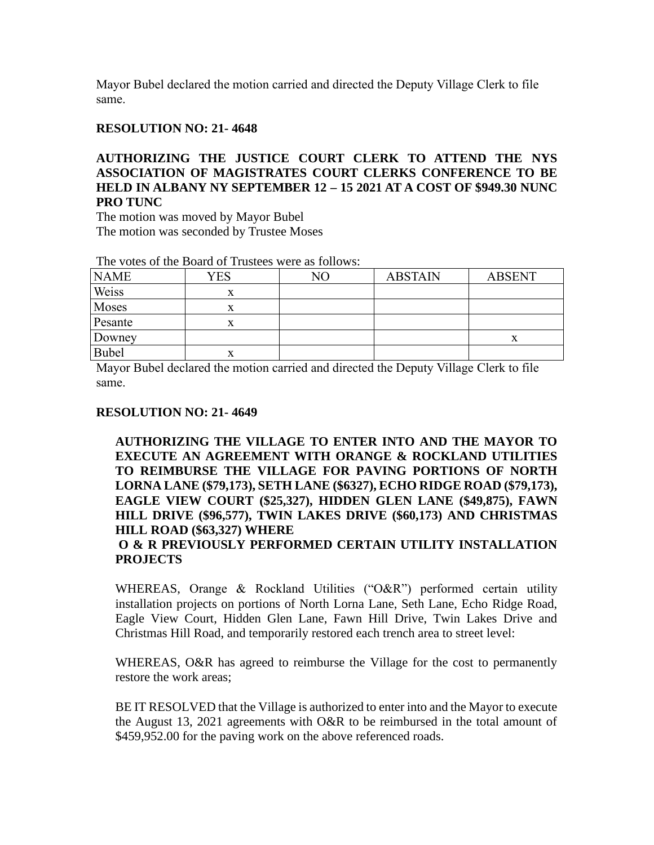### **RESOLUTION NO: 21- 4648**

# **AUTHORIZING THE JUSTICE COURT CLERK TO ATTEND THE NYS ASSOCIATION OF MAGISTRATES COURT CLERKS CONFERENCE TO BE HELD IN ALBANY NY SEPTEMBER 12 – 15 2021 AT A COST OF \$949.30 NUNC PRO TUNC**

The motion was moved by Mayor Bubel The motion was seconded by Trustee Moses

| THE VOICS OF THE DOTTO OF THISICES WELL TO FOLLOWS. |     |    |                |               |  |  |  |  |
|-----------------------------------------------------|-----|----|----------------|---------------|--|--|--|--|
| <b>NAME</b>                                         | YES | NO | <b>ABSTAIN</b> | <b>ABSENT</b> |  |  |  |  |
| Weiss                                               | X   |    |                |               |  |  |  |  |
| Moses                                               | х   |    |                |               |  |  |  |  |
| Pesante                                             | х   |    |                |               |  |  |  |  |
| Downey                                              |     |    |                | $\Lambda$     |  |  |  |  |
| <b>Bubel</b>                                        | A   |    |                |               |  |  |  |  |

The votes of the Board of Trustees were as follows:

Mayor Bubel declared the motion carried and directed the Deputy Village Clerk to file same.

#### **RESOLUTION NO: 21- 4649**

**AUTHORIZING THE VILLAGE TO ENTER INTO AND THE MAYOR TO EXECUTE AN AGREEMENT WITH ORANGE & ROCKLAND UTILITIES TO REIMBURSE THE VILLAGE FOR PAVING PORTIONS OF NORTH LORNA LANE (\$79,173), SETH LANE (\$6327), ECHO RIDGE ROAD (\$79,173), EAGLE VIEW COURT (\$25,327), HIDDEN GLEN LANE (\$49,875), FAWN HILL DRIVE (\$96,577), TWIN LAKES DRIVE (\$60,173) AND CHRISTMAS HILL ROAD (\$63,327) WHERE**

**O & R PREVIOUSLY PERFORMED CERTAIN UTILITY INSTALLATION PROJECTS**

WHEREAS, Orange & Rockland Utilities ("O&R") performed certain utility installation projects on portions of North Lorna Lane, Seth Lane, Echo Ridge Road, Eagle View Court, Hidden Glen Lane, Fawn Hill Drive, Twin Lakes Drive and Christmas Hill Road, and temporarily restored each trench area to street level:

WHEREAS, O&R has agreed to reimburse the Village for the cost to permanently restore the work areas;

BE IT RESOLVED that the Village is authorized to enter into and the Mayor to execute the August 13, 2021 agreements with O&R to be reimbursed in the total amount of \$459,952.00 for the paving work on the above referenced roads.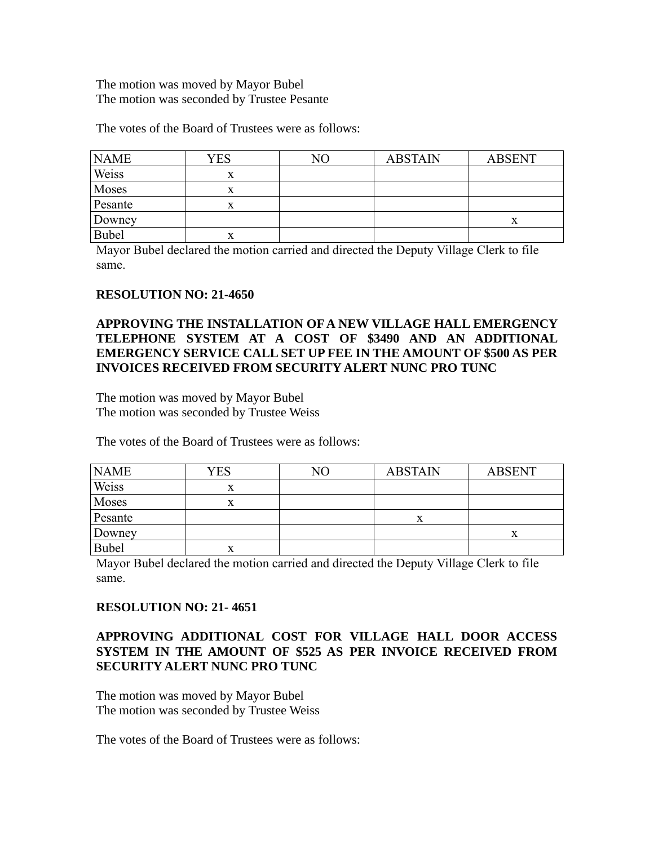The motion was moved by Mayor Bubel The motion was seconded by Trustee Pesante

The votes of the Board of Trustees were as follows:

| <b>NAME</b> | YES | NΟ | <b>ABSTAIN</b> | <b>ABSENT</b> |
|-------------|-----|----|----------------|---------------|
| Weiss       | x   |    |                |               |
| Moses       | x   |    |                |               |
| Pesante     | л   |    |                |               |
| Downey      |     |    |                | $\lambda$     |
| Bubel       | х   |    |                |               |

Mayor Bubel declared the motion carried and directed the Deputy Village Clerk to file same.

### **RESOLUTION NO: 21-4650**

## **APPROVING THE INSTALLATION OF A NEW VILLAGE HALL EMERGENCY TELEPHONE SYSTEM AT A COST OF \$3490 AND AN ADDITIONAL EMERGENCY SERVICE CALL SET UP FEE IN THE AMOUNT OF \$500 AS PER INVOICES RECEIVED FROM SECURITY ALERT NUNC PRO TUNC**

The motion was moved by Mayor Bubel The motion was seconded by Trustee Weiss

The votes of the Board of Trustees were as follows:

| <b>NAME</b>  | YES | NO | <b>ABSTAIN</b> | <b>ABSENT</b> |
|--------------|-----|----|----------------|---------------|
| Weiss        | X   |    |                |               |
| Moses        | x   |    |                |               |
| Pesante      |     |    | x              |               |
| Downey       |     |    |                |               |
| <b>Bubel</b> | x   |    |                |               |

Mayor Bubel declared the motion carried and directed the Deputy Village Clerk to file same.

### **RESOLUTION NO: 21- 4651**

## **APPROVING ADDITIONAL COST FOR VILLAGE HALL DOOR ACCESS SYSTEM IN THE AMOUNT OF \$525 AS PER INVOICE RECEIVED FROM SECURITY ALERT NUNC PRO TUNC**

The motion was moved by Mayor Bubel The motion was seconded by Trustee Weiss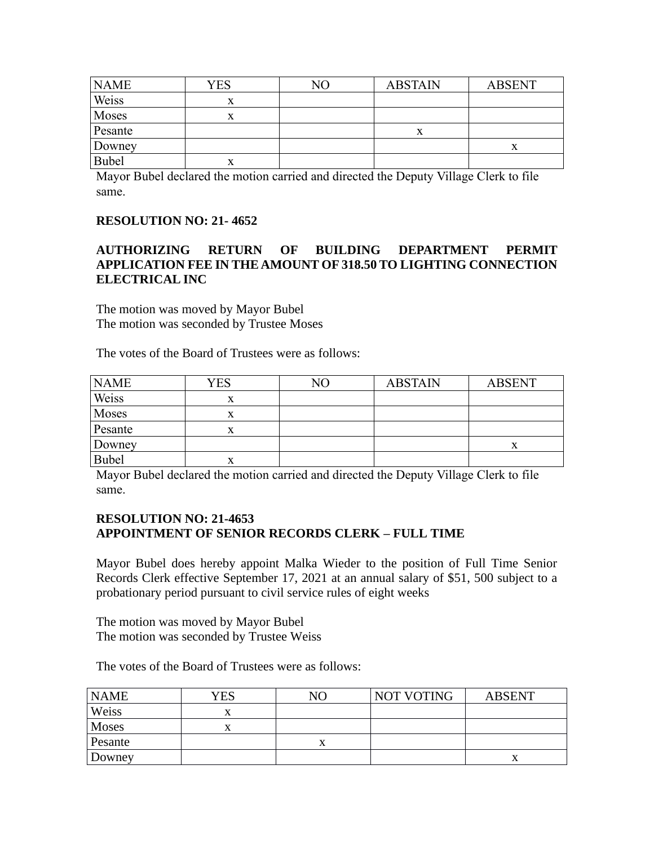| <b>NAME</b> | YES | NΟ | <b>ABSTAIN</b> | <b>ABSENT</b> |
|-------------|-----|----|----------------|---------------|
| Weiss       | X   |    |                |               |
| Moses       | x   |    |                |               |
| Pesante     |     |    | X              |               |
| Downey      |     |    |                | $\Lambda$     |
| Bubel       | X   |    |                |               |

### **RESOLUTION NO: 21- 4652**

## **AUTHORIZING RETURN OF BUILDING DEPARTMENT PERMIT APPLICATION FEE IN THE AMOUNT OF 318.50 TO LIGHTING CONNECTION ELECTRICAL INC**

The motion was moved by Mayor Bubel The motion was seconded by Trustee Moses

The votes of the Board of Trustees were as follows:

| <b>NAME</b> | YES       | NO | <b>ABSTAIN</b> | <b>ABSENT</b> |
|-------------|-----------|----|----------------|---------------|
| Weiss       | $\Lambda$ |    |                |               |
| Moses       | x         |    |                |               |
| Pesante     | x         |    |                |               |
| Downey      |           |    |                |               |
| Bubel       | x         |    |                |               |

Mayor Bubel declared the motion carried and directed the Deputy Village Clerk to file same.

### **RESOLUTION NO: 21-4653 APPOINTMENT OF SENIOR RECORDS CLERK – FULL TIME**

Mayor Bubel does hereby appoint Malka Wieder to the position of Full Time Senior Records Clerk effective September 17, 2021 at an annual salary of \$51, 500 subject to a probationary period pursuant to civil service rules of eight weeks

The motion was moved by Mayor Bubel The motion was seconded by Trustee Weiss

| <b>NAME</b> | YES | NΟ | NOT VOTING | <b>ABSENT</b> |
|-------------|-----|----|------------|---------------|
| Weiss       |     |    |            |               |
| Moses       |     |    |            |               |
| Pesante     |     |    |            |               |
| Downey      |     |    |            | $\lambda$     |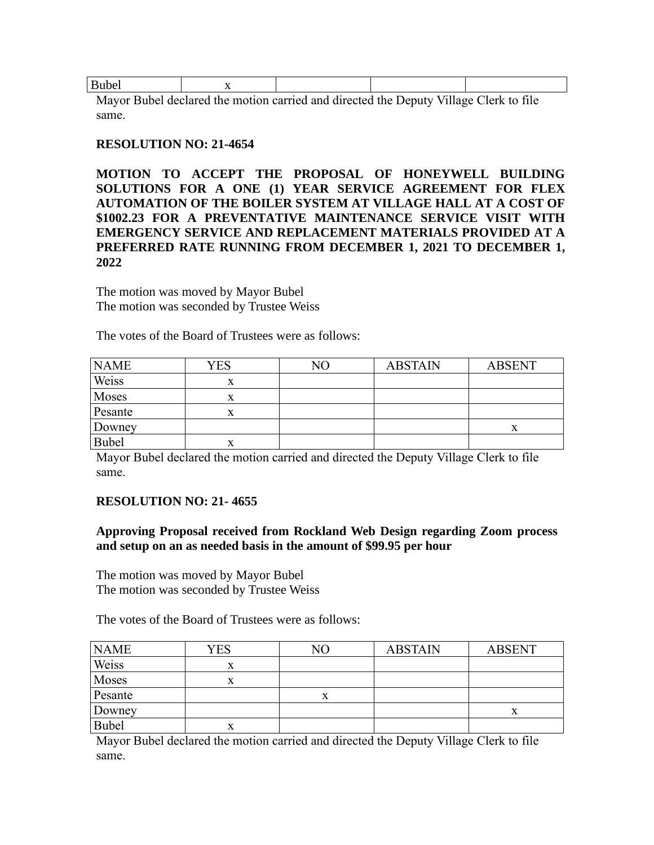| <b>Bubel</b> |    |   |  |  |  |            |       |          |        |  |
|--------------|----|---|--|--|--|------------|-------|----------|--------|--|
| $\mathbf{r}$ | T. | . |  |  |  | $\sqrt{ }$ | T T11 | $\sim$ 1 | $\sim$ |  |

### **RESOLUTION NO: 21-4654**

**MOTION TO ACCEPT THE PROPOSAL OF HONEYWELL BUILDING SOLUTIONS FOR A ONE (1) YEAR SERVICE AGREEMENT FOR FLEX AUTOMATION OF THE BOILER SYSTEM AT VILLAGE HALL AT A COST OF \$1002.23 FOR A PREVENTATIVE MAINTENANCE SERVICE VISIT WITH EMERGENCY SERVICE AND REPLACEMENT MATERIALS PROVIDED AT A PREFERRED RATE RUNNING FROM DECEMBER 1, 2021 TO DECEMBER 1, 2022**

The motion was moved by Mayor Bubel The motion was seconded by Trustee Weiss

The votes of the Board of Trustees were as follows:

| <b>NAME</b>  | YES | NO | <b>ABSTAIN</b> | <b>ABSENT</b> |
|--------------|-----|----|----------------|---------------|
| Weiss        | x   |    |                |               |
| Moses        | л   |    |                |               |
| Pesante      | x   |    |                |               |
| Downey       |     |    |                |               |
| <b>Bubel</b> | л   |    |                |               |

Mayor Bubel declared the motion carried and directed the Deputy Village Clerk to file same.

### **RESOLUTION NO: 21- 4655**

### **Approving Proposal received from Rockland Web Design regarding Zoom process and setup on an as needed basis in the amount of \$99.95 per hour**

The motion was moved by Mayor Bubel The motion was seconded by Trustee Weiss

The votes of the Board of Trustees were as follows:

| <b>NAME</b>  | <b>YES</b> | NO | <b>ABSTAIN</b> | <b>ABSENT</b> |
|--------------|------------|----|----------------|---------------|
| Weiss        | л          |    |                |               |
| Moses        | x          |    |                |               |
| Pesante      |            |    |                |               |
| Downey       |            |    |                |               |
| <b>Bubel</b> | X          |    |                |               |

Mayor Bubel declared the motion carried and directed the Deputy Village Clerk to file same.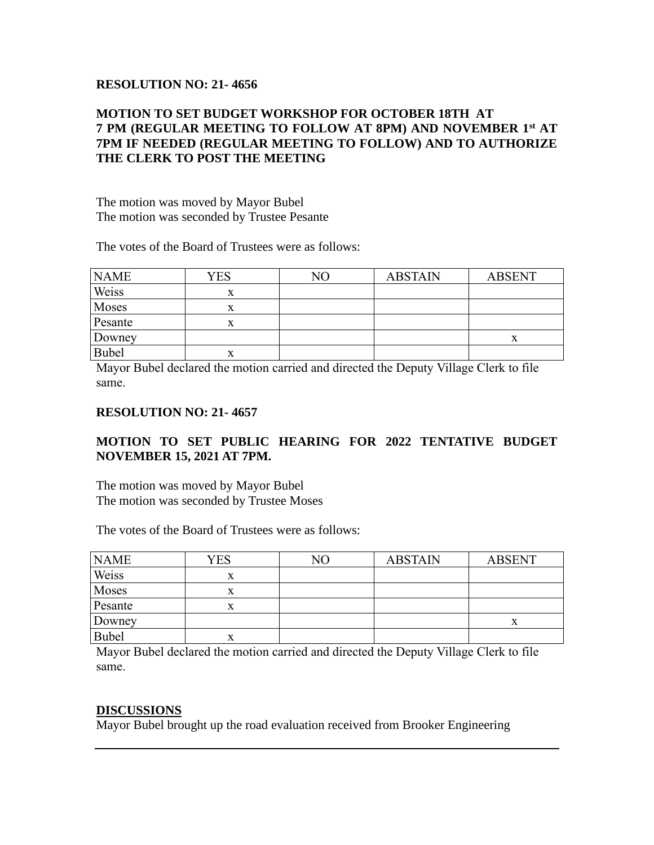### **RESOLUTION NO: 21- 4656**

## **MOTION TO SET BUDGET WORKSHOP FOR OCTOBER 18TH AT 7 PM (REGULAR MEETING TO FOLLOW AT 8PM) AND NOVEMBER 1st AT 7PM IF NEEDED (REGULAR MEETING TO FOLLOW) AND TO AUTHORIZE THE CLERK TO POST THE MEETING**

The motion was moved by Mayor Bubel The motion was seconded by Trustee Pesante

The votes of the Board of Trustees were as follows:

| <b>NAME</b>  | YES | NΟ | <b>ABSTAIN</b> | <b>ABSENT</b> |
|--------------|-----|----|----------------|---------------|
| Weiss        | x   |    |                |               |
| Moses        | x   |    |                |               |
| Pesante      |     |    |                |               |
| Downey       |     |    |                |               |
| <b>Bubel</b> | л   |    |                |               |

Mayor Bubel declared the motion carried and directed the Deputy Village Clerk to file same.

#### **RESOLUTION NO: 21- 4657**

# **MOTION TO SET PUBLIC HEARING FOR 2022 TENTATIVE BUDGET NOVEMBER 15, 2021 AT 7PM.**

The motion was moved by Mayor Bubel The motion was seconded by Trustee Moses

The votes of the Board of Trustees were as follows:

| <b>NAME</b>  | YES | NО | <b>ABSTAIN</b> | <b>ABSENT</b> |
|--------------|-----|----|----------------|---------------|
| Weiss        | x   |    |                |               |
| Moses        |     |    |                |               |
| Pesante      |     |    |                |               |
| Downey       |     |    |                |               |
| <b>Bubel</b> | л   |    |                |               |

Mayor Bubel declared the motion carried and directed the Deputy Village Clerk to file same.

### **DISCUSSIONS**

Mayor Bubel brought up the road evaluation received from Brooker Engineering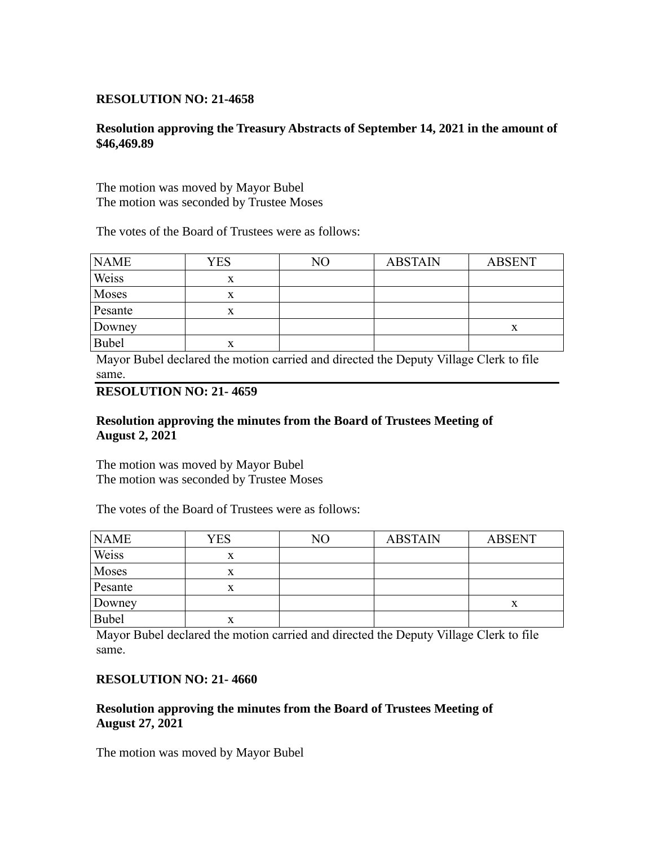### **RESOLUTION NO: 21-4658**

### **Resolution approving the Treasury Abstracts of September 14, 2021 in the amount of \$46,469.89**

The motion was moved by Mayor Bubel The motion was seconded by Trustee Moses

The votes of the Board of Trustees were as follows:

| <b>NAME</b>  | YES | NO | <b>ABSTAIN</b> | <b>ABSENT</b> |
|--------------|-----|----|----------------|---------------|
| Weiss        | x   |    |                |               |
| Moses        | X   |    |                |               |
| Pesante      | x   |    |                |               |
| Downey       |     |    |                |               |
| <b>Bubel</b> | x   |    |                |               |

Mayor Bubel declared the motion carried and directed the Deputy Village Clerk to file same.

## **RESOLUTION NO: 21- 4659**

### **Resolution approving the minutes from the Board of Trustees Meeting of August 2, 2021**

The motion was moved by Mayor Bubel The motion was seconded by Trustee Moses

The votes of the Board of Trustees were as follows:

| <b>NAME</b>  | <b>YES</b> | NΟ | <b>ABSTAIN</b> | <b>ABSENT</b> |
|--------------|------------|----|----------------|---------------|
| Weiss        | x          |    |                |               |
| Moses        |            |    |                |               |
| Pesante      |            |    |                |               |
| Downey       |            |    |                | $\Lambda$     |
| <b>Bubel</b> | x          |    |                |               |

Mayor Bubel declared the motion carried and directed the Deputy Village Clerk to file same.

### **RESOLUTION NO: 21- 4660**

### **Resolution approving the minutes from the Board of Trustees Meeting of August 27, 2021**

The motion was moved by Mayor Bubel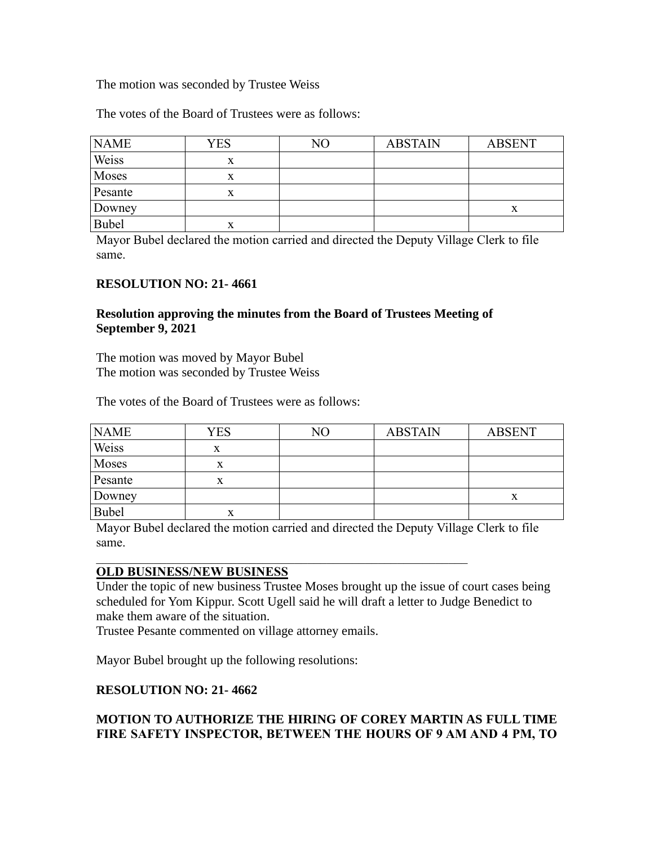### The motion was seconded by Trustee Weiss

The votes of the Board of Trustees were as follows:

| <b>NAME</b>  | <b>YES</b> | NO | <b>ABSTAIN</b> | <b>ABSENT</b> |
|--------------|------------|----|----------------|---------------|
| Weiss        | x          |    |                |               |
| Moses        | X          |    |                |               |
| Pesante      | x          |    |                |               |
| Downey       |            |    |                | $\Lambda$     |
| <b>Bubel</b> | x          |    |                |               |

Mayor Bubel declared the motion carried and directed the Deputy Village Clerk to file same.

### **RESOLUTION NO: 21- 4661**

### **Resolution approving the minutes from the Board of Trustees Meeting of September 9, 2021**

The motion was moved by Mayor Bubel The motion was seconded by Trustee Weiss

The votes of the Board of Trustees were as follows:

| <b>NAME</b>  | <b>YES</b> | $\overline{\rm NO}$ | <b>ABSTAIN</b> | <b>ABSENT</b> |
|--------------|------------|---------------------|----------------|---------------|
| Weiss        | X          |                     |                |               |
| Moses        | X          |                     |                |               |
| Pesante      | x          |                     |                |               |
| Downey       |            |                     |                | $\Lambda$     |
| <b>Bubel</b> | x          |                     |                |               |

Mayor Bubel declared the motion carried and directed the Deputy Village Clerk to file same.

### **OLD BUSINESS/NEW BUSINESS**

Under the topic of new business Trustee Moses brought up the issue of court cases being scheduled for Yom Kippur. Scott Ugell said he will draft a letter to Judge Benedict to make them aware of the situation.

Trustee Pesante commented on village attorney emails.

Mayor Bubel brought up the following resolutions:

### **RESOLUTION NO: 21- 4662**

## **MOTION TO AUTHORIZE THE HIRING OF COREY MARTIN AS FULL TIME FIRE SAFETY INSPECTOR, BETWEEN THE HOURS OF 9 AM AND 4 PM, TO**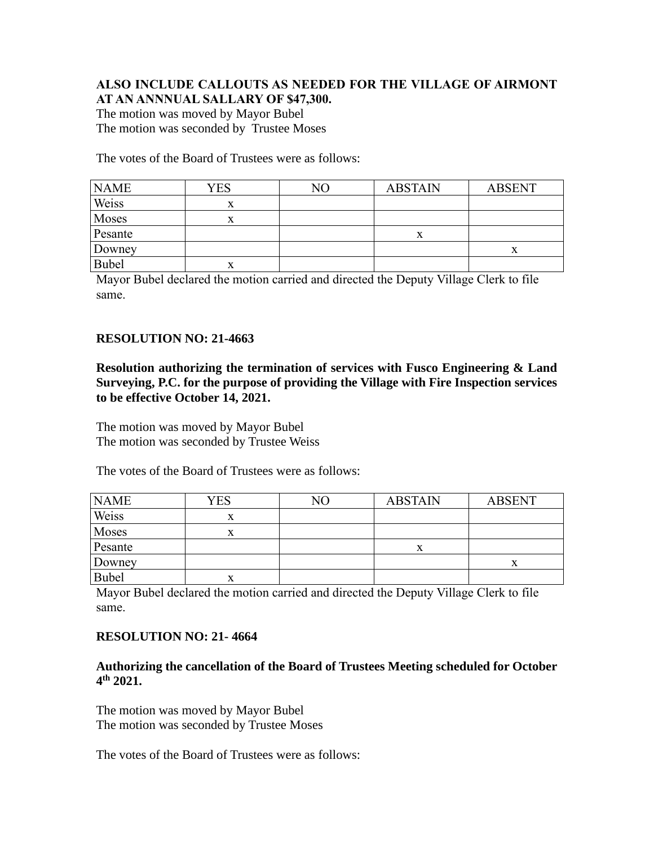### **ALSO INCLUDE CALLOUTS AS NEEDED FOR THE VILLAGE OF AIRMONT AT AN ANNNUAL SALLARY OF \$47,300.**

The motion was moved by Mayor Bubel The motion was seconded by Trustee Moses

The votes of the Board of Trustees were as follows:

| <b>NAME</b>  | YES | NΟ | <b>ABSTAIN</b> | <b>ABSENT</b> |
|--------------|-----|----|----------------|---------------|
| Weiss        | x   |    |                |               |
| Moses        | x   |    |                |               |
| Pesante      |     |    | x              |               |
| Downey       |     |    |                | $\Lambda$     |
| <b>Bubel</b> | x   |    |                |               |

Mayor Bubel declared the motion carried and directed the Deputy Village Clerk to file same.

### **RESOLUTION NO: 21-4663**

**Resolution authorizing the termination of services with Fusco Engineering & Land Surveying, P.C. for the purpose of providing the Village with Fire Inspection services to be effective October 14, 2021.**

The motion was moved by Mayor Bubel The motion was seconded by Trustee Weiss

The votes of the Board of Trustees were as follows:

| <b>NAME</b>  | YES       | NΟ | <b>ABSTAIN</b> | <b>ABSENT</b> |
|--------------|-----------|----|----------------|---------------|
| Weiss        | x         |    |                |               |
| Moses        | $\Lambda$ |    |                |               |
| Pesante      |           |    | X              |               |
| Downey       |           |    |                |               |
| <b>Bubel</b> | x         |    |                |               |

Mayor Bubel declared the motion carried and directed the Deputy Village Clerk to file same.

### **RESOLUTION NO: 21- 4664**

### **Authorizing the cancellation of the Board of Trustees Meeting scheduled for October 4 th 2021.**

The motion was moved by Mayor Bubel The motion was seconded by Trustee Moses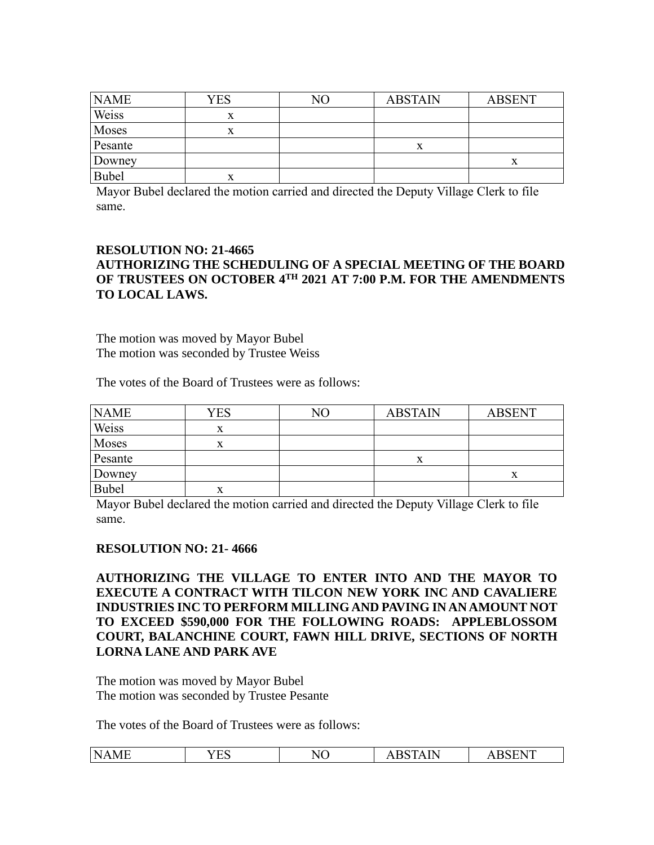| <b>NAME</b>  | YES | NΟ | <b>ABSTAIN</b> | <b>ABSENT</b> |
|--------------|-----|----|----------------|---------------|
| Weiss        | x   |    |                |               |
| Moses        |     |    |                |               |
| Pesante      |     |    |                |               |
| Downey       |     |    |                |               |
| <b>Bubel</b> | л   |    |                |               |

### **RESOLUTION NO: 21-4665 AUTHORIZING THE SCHEDULING OF A SPECIAL MEETING OF THE BOARD OF TRUSTEES ON OCTOBER 4TH 2021 AT 7:00 P.M. FOR THE AMENDMENTS TO LOCAL LAWS.**

The motion was moved by Mayor Bubel The motion was seconded by Trustee Weiss

The votes of the Board of Trustees were as follows:

| <b>NAME</b>  | YES | NΟ | <b>ABSTAIN</b> | <b>ABSENT</b> |
|--------------|-----|----|----------------|---------------|
| Weiss        | x   |    |                |               |
| Moses        | x   |    |                |               |
| Pesante      |     |    | л              |               |
| Downey       |     |    |                |               |
| <b>Bubel</b> | л   |    |                |               |

Mayor Bubel declared the motion carried and directed the Deputy Village Clerk to file same.

### **RESOLUTION NO: 21- 4666**

**AUTHORIZING THE VILLAGE TO ENTER INTO AND THE MAYOR TO EXECUTE A CONTRACT WITH TILCON NEW YORK INC AND CAVALIERE INDUSTRIES INC TO PERFORM MILLING AND PAVING IN AN AMOUNT NOT TO EXCEED \$590,000 FOR THE FOLLOWING ROADS: APPLEBLOSSOM COURT, BALANCHINE COURT, FAWN HILL DRIVE, SECTIONS OF NORTH LORNA LANE AND PARK AVE** 

The motion was moved by Mayor Bubel The motion was seconded by Trustee Pesante

| <b>1 TEL</b><br>$\mathbf{D}$<br>$\tau \Gamma$<br>N<br>NU<br>n<br>w<br>⊥ພ<br>$\cdots$<br>. |  |
|-------------------------------------------------------------------------------------------|--|
|-------------------------------------------------------------------------------------------|--|